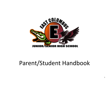

# Parent/Student Handbook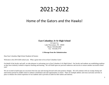# 2021-2022

# Home of the Gators and the Hawks!

# **East Columbus Jr-Sr High School**

32 Gator Ln. Lake Waccamaw, NC 28450 Phone: 910.646.4094 Fax: 910.646.3779

#### **A Message from the Administration**

Dear East Columbus High School Students & Parents:

Welcome to the 2019-2020 school year. What a great time to be an East Columbus Gator!

On behalf of the faculty and staff, we take pleasure in welcoming you to East Columbus Jr-Sr High School. Our faculty and students are establishing tradition as they have tirelessly worked to improve teaching and learning. We will build upon our previous endeavors and success to ensure another successful school year!

We are excited to build upon our successes from last year and moving forward with some positive changes. We will continue with our swamp chomp and intervention period for middle school to enhance remediation and club opportunities at school. There are multiple athletic and extra-curricular activities in place to enhance the school experience of our students and to provide an outlet for their talents and interests.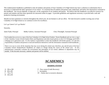This student/parent handbook is published so that all students and parents of East Columbus Jr-Sr High School may have a reference to information that is necessary to understand the daily operations of our school. It is essential that all students and parents read, understand, and follow the information contained in this handbook. Our success depends, in large part, on the cooperation of our students and parents. We believe that this handbook is an effective resource for parents and students and that many questions are answered within its pages. It provides guidelines and regulations necessary to provide both a safe and productive learning environment.

Should you have questions or concerns throughout the school year, do not hesitate to call our office. We look forward to another exciting year at East Columbus Jr-Sr High School as we continue to strive for excellence.

Let's go Gators! Let's go Hawks!

Sincerely,

Jamie Faulk, Principal Bobby Godwin, Assistant Principal Chica Threadgill, Assistant Principal

Each student has access to a copy of the East Columbus Jr-Sr High School Student / Parent Handbook and can view a copy of the *Columbus County Schools Student Rules and Regulations* and other board policies on the CCS Webpage and ECHS webpage (www.gatorseast.com). It is the student's responsibility to share this handbook with his/her parents. It is also the responsibility of students and parents to read and familiarize themselves with the information contained in both handbooks.

There is no way to cover all the situations that may occur during the school year; therefore, any and all areas of the East Columbus School Student/Parent Handbook are subject to change during the course of the school year. As the administration continually evaluates the environment and atmosphere of our school, additions or adjustments may be needed. If this becomes necessary, students and parents will be notified.

# **ACADEMICS**

# **GRADING SYSTEM**

 $A - 90$  to 100  $B - 80$  to 89  $C - 70$  to 79  $D - 60$  to 69

- P Pass course (Credit Recovery)
- I Incomplete
- FF Failure due to excessive absences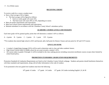#### **RECEIVING CREDIT**

To receive credit for a course a student must:

- Have a final average of 60 or higher.
	- The final average will be figured as follows:
		- Each six weeks grade will count 25%.
		- The final exam will count 20% or 25%, depending on course.
- Meet all teacher requirements and expectations.
- Meet local school system requirements and expectations.
- Maintain attendance in accordance with the Columbus County School's attendance policy.

# **ACADEMIC COURSE LEVELS AND WEIGHTS**

Each letter grade will be granted quality points that will determine a student's GPA as follows:

 $A - 4$  points  $B - 3$  points  $C - 2$  points  $D - 1$  point  $F/P - 0$  points

\*\*For students that entered high school in 2015 and beyond, add a half point for Honors Classes and one point for AP and CCP Courses

# **GPA/CLASS RANK**

- A student's Grade Point Average (GPA) will be used to determine rank in class and other academic honors.
- High School courses taken in middle school do not count towards a student's GPA.
- All courses taken in grades 9 through 12 will be included in the class ranking process including concurrent enrollment courses except where limited by school board policy.

# **PROMOTION STANDARDS/ GRADUATION REQUIREMENTS**

Promotion Standards & Graduation Requirements are listed on the Columbus County Schools webpage. Students and parents should familiarize themselves with these standards and requirements, along with all other information in the code of conduct.

To be promoted to the next grade level students must have the following:

 $10<sup>th</sup>$  grade: 6 Credits 11<sup>th</sup> grade: 14 Credits 12<sup>th</sup> grade: 20 Credits including English I, II, & III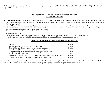To Graduate: Students must have 28 credits in the following courses: English (4), Math (4), Social Studies (4), Science (3), Health & PE (1), Arts Education (1), and Electives (11).

#### **RECOGNIZING ACADEMIC ACHIEVEMENT FOR SENIORS & JUNIOR MARSHALS**

- **Latin Honor System:** Beginning with the graduating class of 2019, CCS will utilize a Latin Honor system to recognize academic achievement. See CCS Policy 3450.Determination will be based on the student's total high school experience as determined by final weighted grade point averages as calculated by NC Power School.
- **Junior Marshals**: The top ten percent of the students in the junior class will qualify to serve as marshals based on their academic performance as calculated at the end of the first semester of the junior year. This calculation will be based on freshmen and sophomore final weighted grade point average plus first semester of the junior year weighted grade point average.

Other important information:

- To be included in any of the honors mentioned above a student must have attended East Columbus High School one full semester.
- Qualities such as: character, leadership, and citizenship will also be considered for the honors mentioned above.

#### **NORTH CAROLINA SCHOLAR'S PROGRAM REQUIREMENTS**

| English                                                                           | 4 units |
|-----------------------------------------------------------------------------------|---------|
| Mathematics (Math I, Math II, Math III, Advanced)                                 | 4 units |
| Science (Biology, Chemistry, and one other advanced science).                     | 3 units |
| Social Studies (American History I & II, Civics, World History)                   | 4 units |
| Foreign Language (two levels of the same language in grades $9 - 12$ ).           | 2 units |
| Health and Physical Education                                                     | 1 unit  |
| Four Credit Concentration in CTE, Arts, World Languages or any other subject area | 4 units |
| Honors Level or Higher Courses taken during Junior or Senior year                 | 3 units |

Students satisfactorily completing the requirements enumerated above with an unweighted GPA of 3.5 shall be named North Carolina Scholars and shall receive a NC Scholars Medal at the Senior Awards Ceremony in the spring to be worn at the graduation ceremony in June.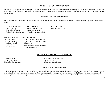#### **PRINCIPAL'S LIST AND HONOR ROLL**

Students will be recognized for the Principal's List each grading period, plus first and second semesters, by earning all A's on courses completed. Honor roll is for those with all A's and B's. Certain school-sponsored honor clubs/societies have their own published criteria which may consider character and conduct for admittance.

#### **STUDENT SERVICES DEPARTMENT**

The Student Services Department (Guidance) will work hard to provide the following services and information to East Columbus High School students and parents:

• Registration for courses

• Career selection

• Peer mediation

- Academic Advising
- Individual counseling
- Attendance counseling

- Scholarship information
- College/University planning
- Teacher Parent Consultation

• Drop-out Prevention

#### *Members of the Student Services Department are*:

| Mr. Brad Carey      | School Counselor (High School)            |
|---------------------|-------------------------------------------|
| Mr. Cory Singletary | School Counselor (Middle School)          |
| Mrs. Lynn Worrell   | <b>School Nurse</b>                       |
| Mrs. Lisa Thomas    | <b>Student Services Support Associate</b> |
| Mrs. Renee Patrick  | <b>ECJSHS Data Manager</b>                |

#### **ACADEMIC OPPORTUNITIES FOR STUDENTS**

Boy's & Girl's State Summer Ventures

Governors' School and The Covernors' School of Math & Science Scholarship Opportunities College and Career Promise

# **HIGH SCHOOL TRANSCRIPTS**

High School transcripts generated and received prior to the end of the school year are unofficial draft copies and subject to change. Official transcripts will not be issued until the school year has been completed. There are no charges for transcripts for students currently enrolled for the purpose of scholarship and college applications, academic programs, or entrance into the military. In order to receive this transcript, the student must turn in a completed *Transcript*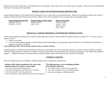*Request Form*, found in front office, to the Student Services receptionist. Please allow one to two weeks to process requests. There will be a \$5.00 charge per transcript for any purpose after graduation.

#### **REPORT CARDS AND INTERIM PROGRESS REPORTS (IPR)**

Interim Progress Reports for all students will be distributed at the 4.5 week mark for each marking period. Parents are encouraged to monitor their student's progress utilizing the Parent Portal in Power School. Report Cards will be distributed at the end of each nine-weeks grading period.

**Progress Reports Issued: Fall** September 22, 2021 November 23, 2021

**Progress Reports Issued: Spring** February 3, 2022 April 8, 2022

**Report Cards Issued** October 29, 2021 January 7, 2022 March 14, 2022 June 7, 2022

# **ADEQUATE ACADEMIC PROGRESS & YOUR DRIVER'S PERMIT/LICENSE**

North Carolina legislation requires that the North Carolina department of Motor Vehicles (DMV) be notified whenever a student (15-17) who has a driver's permit or license:

- Drops out of school,
- Or is not making adequate progress toward obtaining a high school diploma or its equivalent, unless the student is not affected by the legislation, or granted a waiver due to hardship.

#### **Upon notification, DMV will revoke the student's driver's permit or license.**

Adequate progress, as defined by the State Board of Education, is passing three out of four classes per semester for schools on block scheduling. Students whose driving privileges are revoked due to academic reasons may have their license reinstated at the end of the next semester, if the student makes adequate progress... Students who drop out of school and do not enroll in another school will lose their license until their 18<sup>th</sup> birthday.

# **SCHEDULE CHANGES**

Due to the limited class/course availability, schedule changes will be completed on a limited basis.

#### **Students will be held accountable for the courses they requested unless one of these 4 criteria apply:**

- You have an open period (missing class).
- You previously passed a class listed on your schedule.
- You need a specific course for graduation.
- You are placed in a course and have not taken the pre-requisite.

#### **The following issues are not scheduling problems and will** *not* **be addressed:**

- You want to drop a course that you requested.
- You want to change a class to a different period.
- You want to change to a different teacher.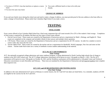- You have a CCP/SCC class that interferes or replaces a course listed.
- You have the same class listed.

• You want a different lunch or class to be with your friends.

# **CHANGE OF ADDRESS**

If you and your family move during the school year and need to make a change of address, you must provide proof of the new address to the front office to make a change in PowerSchool. Please notify East Columbus High School if you make a move.

# **TESTING**

# **FINAL EXAMS**

Every course offered at East Columbus High School has a final exam component that will count towards 20 or 25% of the student's final average. Completion of final exams is required by all students and there are four types of final exams offered:

- 1. *End-of-Course Exam:* These exams are created by the Department of Instruction and are a requirement for Math 1, Biology, and English II. These exams are completed on the computer and included a blend of short answer and multiple choice questions.
- 2. *CTE Exams:* These exams are created by the Department of Instruction and are a requirement for all CTE courses. In order for a student to receive course credit, they must take the exam.
- 3. *Teacher Made Final*: These exams are created by the teacher and are a requirement for Health/PE, World Languages, Fine Arts and some on-line classes. Teacher made final exams use a variety of methods to assess student understanding of the material.

# **ACT, Pre-ACT AND WORKKEYS**

# *(State Testing)*

ACT, the nationally recognized college admissions and career readiness program, is being administered in North Carolina high schools free of charge to students in the 2021-2022 school year. The ACT College Admissions Assessment will be given to every 11th grader on March 1, 2021. The Pre-ACT assessment will be given to every 10th grader on October 20, 2021 and the WorkKeys assessment will be administered to 12th grade Career and Technical Education concentrators in early December and February. These tests are mandated by the Department of Instruction and *all required students* must complete their respective test.

# **ACT, SAT, and AP REGISTRATION AND TESTING DATES**

**(***Non-State Testing)*

In addition to the state administered ACT given in February to current Juniors, the ACT and SAT test dates are listed below. As a reminder, students at ECHS are eligible for fee waivers for the ACT and SAT.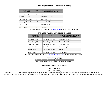# **ACT REGISTRATION AND TESTING DATES**

| 2019-2020<br><b>Test Dates</b> | <b>Test</b> | <b>Regular Registration Deadline</b><br>(postmark/submit by) |
|--------------------------------|-------------|--------------------------------------------------------------|
| September 11, 2021             | <b>ACT</b>  | August 6, 2021                                               |
| October 23, 2021               | <b>ACT</b>  | September 17, 2021                                           |
| December 11, 2021              | <b>ACT</b>  | November 5, 2021                                             |
| February 12, 2022              | <b>ACT</b>  | January 7, 2022                                              |
| April 2, 2022                  | ACT         | February 25, 2022                                            |
| June 11, 2022                  | <b>ACT</b>  | May 2, 2022                                                  |

Students are to register for the ACT at [www.act.org](http://www.act.org/) and the school code is 340010.

| 2018-19<br><b>Test Dates</b> | <b>Test</b>                    | <b>Regular Registration Deadline</b><br>(postmark/submit by) |
|------------------------------|--------------------------------|--------------------------------------------------------------|
| October 2, 2019              | <b>SAT &amp; Subject Tests</b> | September 23, 2019                                           |
| November 6, 2019             | <b>SAT &amp; Subject Tests</b> | October 8, 2019                                              |
| December 4, 2019             | <b>SAT &amp; Subject Tests</b> | November 4, 2019                                             |
| March 12, 2020               | SAT only                       | February 11, 2020                                            |
| May 7, 2020                  | SAT & Subject Tests            | April 8, 2020                                                |
| June 4, 2020                 | <b>SAT &amp; Subject Tests</b> | May 5, 2020                                                  |

#### **SAT REGISTRATION AND TESTING DATES**

Students are to register for the SAT at [www.collegeboard.org](http://www.collegeboard.org/) and the school code is 340010.

#### **AP TESTING DATES**

| Testing Date and Time    | l Test                      |
|--------------------------|-----------------------------|
| Wed. May 4, 2020 8:00 AM | AP Literature & Composition |

#### **Registration is in the Spring of 2022.**

#### **PSAT TESTING**

*(Non-State Testing)*

On October 13, 2021, East Columbus High School will give the PSAT to students who register for the test. The test will measure critical reading, mathproblem solving, and writing skills. Juniors who want to be considered for the National Merit Scholarship are strongly encouraged to take this test. Students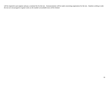will be required to pre-register and pay a nominal fee for the test. Announcements will be made concerning registration for the test. *Students wishing to take the test are encouraged to register early as the number of available tests will be limited.*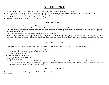# **ATTENDANCE**

In order for a student to receive credit for a course, he/she may not be absent from class more than ten periods.

- To receive credit for a course, a student who is absent is responsible for making up all assigned work regardless of the reason for the absence.
- All work missed during an absence must be made up within five days upon returning to school.
- *A student must be in class at least 70 minutes to be counted present.*
- For more information please review CCS Board Policy 4400.

# **ATTENDANCE POLICY**

- Period attendance is taken in each class on a daily basis.
- All absence notes are due to the front office within 3 days of the absence to be considered excused.
- Notes from parent/guardian should list both home and work telephone numbers where they can be contacted, the date(s) of the absence(s) and specific information/reason for the absence.
- Notes from doctors, dentists, and court officials are required when appropriate.
- Students with excessive absences will have individual parent conferences with grade level administrator and require official documentation of absences.
- Students arriving to school after the official start of their school day are to report immediately to the office to sign-in stating the reason for the absence or tardy.

# **EXCUSED ABSENCES**

Per North Carolina General Statute and North Carolina State Board of Education Policy, excused absences are defined as the following:

- 1. Illness or injury which makes the student physically unable to attend school
- 2. Quarantine Isolation ordered by the Department of Health
- 3. Death in the immediate family
- 4. Medical or Dental appointments
- 5. Court or Administrative proceedings
- 6. Religious observance
- 7. Educational opportunities with *PRIOR APPROVAL* as documented on the "Request for excused absence for Educational Reasons". This form is available in the in the front office. The form must be approved by the principal five days in advance of the absence. Required documentation must be submitted five days upon the student's return to school.

# **UNEXCUSED ABSENCES**

Absences from class due to the following reasons shall be coded unexcused.

• Car trouble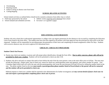- Oversleeping
- Running errands
- Failure to bring an absence note from home
- Cutting/skipping

# **SCHOOL RELATED ACTIVITES**

School related activities as outlined below should not be counted as absences from either class or school.

- Field trips sponsored by the school
- School initiated and scheduled activities
- Athletic events *requiring early dismissal* from school
- Governor's or Legislative pages

# **EDUCATIONAL LEAVE REQUESTS**

Students who miss school due to educational opportunities or college visits can request permission for the absences to be excused by completing the Education Leave Form found in the front office. The student must have the form signed by all teachers with final approval from the principal *five days* prior to the date requested. Students will be responsible for providing proper documentation of their leave and completing all missed assignments within five days. Students with excessive absences may not receive approval for educational leave.

# **CHECK-IN / CHECK-OUT PROCEDURE**

#### **Student Check-Out Process:**

- **1.** Parents may check-out students, in person and with proper photo identification, through the front office. **Due to safety concerns, phone calls will not be permitted to check-out a student.** Students will not be permitted to check-out after 2:30.
- 2. Students who drive and park on campus that need to leave before the end of the day must present a note to the main office prior to 8:45am. The note must include the following: student name, time of check-out, reason for check-out, parent/guardian name and signature, and contact number for parent. East Columbus High School staff will verify the note with the parent/guardian who wrote the note between 8:30 and 9:30 am by calling the number listed on the note. The phone number listed on the note **must match a parent/guardian phone number listed in PowerSchool or the parent will not be contacted and the student will not be permitted to check-out.**

Habitual requests to check-out a student shall be reported to the administration for further investigation and *may warrant denial of future check-outs via note and require a parent/guardian completing future check-outs in person.*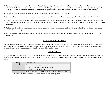- *3.* Please note that only the parent/guardian listed on the student's current year Student Information Sheet or in PowerSchool may check-out or have contact with a student. Good, working contact numbers, including cell phone, work, and home numbers, are to be updated by the parent/guardian throughout the school year as needed. *Phone calls will not be accepted to change a student's contact information in PowerSchool or to check-out a student.*
- *4.* Parent permission and written authorization is required for all students to check-out, regardless of age.
- *5.* Current students cannot check-out other current students for the day, unless they are siblings and parents provide written authorization for each check-out.
- *6.* Students that have graduated in the past three years cannot check-out students or be added to a list of contacts authorized to check students out unless they are siblings or immediate family members. If an older sibling is to check a student out, written authorization will be needed each time from the parent. *(No phone calls.)*
- *7.* Students who do not follow the check-out process and leave campus without permission are considered skipping and subject to disciplinary consequences including loss of parking privileges.
- *8.* Please note that East Columbus High School staff will not interrupt assemblies, pep rallies, or state/national exams (ie. ACT, EOC, NCFE, etc.) to checkout students.

# **ILLNESS AND EMERGENCIES**

Students who become ill, get hurt, or have an emergency while on campus must report to the main office so school nurse or administration can notify parents and make a decision about what is best for the student's welfare. A faculty member who determines that a student is not able to make it to the main office because of illness, injury, or an emergency will notify the main office/administration.

# **TARDY TO CLASS**

Anytime a student is not in class when the bell to begin class rings, the student is considered tardy. Excessive tardiness will lead to escalating consequences; therefore, students are encouraged to arrive to class on time to avoid consequences. Excessive tardies and associated consequences will follow the chart below:

| Tardy# | <b>Consequence</b>                                               |
|--------|------------------------------------------------------------------|
| $1-4$  | Teacher Consequence and parent contact                           |
|        | Partial Day ISS (Referral to Administration)                     |
|        | ISS (Referral to Administration)                                 |
| 10     | Parent and Administrator Conference (Referral to Administration) |

\*\*Tardies are cumulative and will reset at the end of each marking period.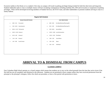Excessive tardies to first block or to a student's first class on campus will result in parking privileges being revoked for both the short term and long term. Students habitually tardy to class or multiple classes will have escalating consequences including multiday ISS, OSS and revocation or suspension of parking privileges. Plans will be developed involving members of Student Services, the STAT team, and other stakeholders to promote students arriving to class in a timely fashion.

| <b>Regular Bell Schedule</b>         |                                                         |  |  |
|--------------------------------------|---------------------------------------------------------|--|--|
| <b>Swamp Chomp Bell Schedule</b>     | <b>Junior High Schedule</b>                             |  |  |
| $8:00 - 9:15$<br>First period<br>٠   | $8:00 - 8:50$<br>First Block/Elective/Planning 8th<br>٠ |  |  |
| $9:20 - 10:35$<br>Second period<br>٠ | First Block/Elective/Planning 7th<br>$8:55 - 9:45$<br>٠ |  |  |
| 10:40 - 11:55 Third period<br>٠      | $9:50 - 10:45$<br>Second Block<br>$\bullet$             |  |  |
| 12:00 - 12:30 Chomp A<br>٠           | 10:50 - 12:00 Lunch/Intervention<br>۰                   |  |  |
| $12:35 - 1:05$<br>Chomp B<br>٠       | 12:05 - 12:55 Third Block<br>٠                          |  |  |
| $1:10 - 1:40$<br>Chomp C<br>٠        | Fourth Block<br>$1:00 - 1:50$<br>٠                      |  |  |
| $1:45 - 3:00$<br>Fourth Period<br>٠  | $1:50 - 2:05$<br><b>Break</b><br>٠                      |  |  |
|                                      | $2:05 - 2:55$<br>Fifth Block<br>$\bullet$               |  |  |
|                                      |                                                         |  |  |
|                                      |                                                         |  |  |
|                                      |                                                         |  |  |

# **ARRIVAL TO & DISMISSAL FROM CAMPUS**

# **CLOSED CAMPUS**

East Columbus High School operates as a closed campus which means that students are to stay on the school grounds from the time they arrive (even if the first bell has not yet sounded), until dismissal in the afternoon. Students are not permitted to leave campus unless they have received permission from the principal or the principal's designee, follow the check-out procedure, or have a free period with permission to leave.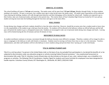#### **ARRIVAL AT SCHOOL**

The school building will open at **7:45 am** each morning. The media center will be open from **7:55 am-3:10 pm**, Monday through Friday, for those students needing to do research. No pass is necessary, but a student must sign in when he/she enters the media center. All media center expectations will be enforced. Upon entering the building, students will walk through metal detectors and their belongings will be checked by school staff. Students are expected to go to their lockers, take care of personal needs, and report to first period class. The exterior doors of East Columbus High School are locked by 8:15 am and any student arriving late must enter the building through the front door and sign-in at the main office.

#### **HALL PASSES**

Except during class changes and lunch, students should be in class the entire school day. However, should the occasion arise that a student needs to leave class; it is the responsibility of the student to get a hall pass from the teacher. No students will be allowed in the hallways without an official hall pass and the hall pass will permit the student to go to a designated area(s) only. Students are encouraged to take care of personal needs during class changes and lunch. Leaving class will be limited during the first 20 minutes and last 20 minutes of class.

#### **MOVEMENT IN HALLWAYS**

As student enrollment continues to increase, movement through the hallways becomes more difficult to navigate. Therefore, students will no longer be able to stop or congregate in the hallways to talk with friends or classmates. Students must be moving at all times from class to class or to the restrooms. Teachers, administrators, and other staff members will be in the hallways to move students along and prevent them from "posting up" to talk with friends.

#### **TITLE IX: KEEPING STUDENTS SAFE**

Title IX is a civil law where "no person in the United States shall, on the basis of sex, be excluded from participation in, be denied the benefits of, or be subjected to discrimination under any education program or activity receiving Federal financial assistance.". Any unwelcomed harassment or discrimination falls under Title IX. Columbus County Schools does not discriminate on the basis of race, color, national origin, sex or disability in its programs or activities. The following Title IX Coordinators: Heather Pigott for students and Cassie Cartrette for employees have been designated to handle inquiries. Columbus County Schools, 817 Washington St., Whiteville, NC 28472, (910) 642-5168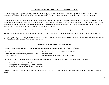#### **STUDENT DRIVING PRIVILEGES, RULES, & EXPECTATIONS**

A student being permitted to drive and park on school campus is a matter of privilege, not a right. A student not meeting the rules, regulations, and expectations of the East Columbus High School administration will forfeit their privilege to drive and park on the school premises on a temporary or permanent basis.

Parking permits will be sold before and after school or during lunch. Students must provide a completed form (may be picked up in front office) with both student and parent signatures, a copy of each of the following: driver's license, proof of insurance, and vehicle registration, and the appropriate fee. Parking permits are \$20 and must be purchased for parking on campus. Refunds will not be given in the event that a student is suspended from school, long term suspended or loses the ability to park on campus due to school or personal actions.

Students who are consistently tardy to school or leave campus without permission will have their parking privileges suspended or revoked.

Students are not permitted to go to their vehicle during the instructional day without first obtaining permission and an appropriate pass from the front office.

Per CCS Policy 4342, vehicles that are parked on campus are subject to search by administration. Please see the *East Columbus High School Student Driving Privileges, Rules, & Expectations Form* for more information.

# **PARKING VIOLATIONS & CONSEQUENCES**

Consequences for students *who park on campus without purchasing a parking permit* will follow the process below:

**First offense:** Warning Ticket *and* parent contact **Second offense:** Vehicle booted (free removal) *and*  parent conference

**Third offense:** Vehicle booted (\$10 removal fee) *and*  parent conference **Fourth offense:** Vehicle towed at owner's expense

Students will receive escalating consequences including warnings, tickets/fines, and boots for repeated violations the following offenses:

- 1. Parking in an area not assigned to student parking.
- 2. Parking on campus while parking permit is revoked.
- 3. Parking in visitor parking or in the front of the school.

Please refer to the *East Columbus High School Student Driving Privileges, Rules, & Expectations Form* for more information or for purchasing a parking permit.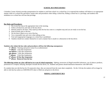#### **SCHOOL BUS PROCEDURES**

Columbus County Schools provides transportation for students to and from school via a school bus. It is expected that students will behave in an appropriate manner while on a school bus and follow certain rules and procedures when riding a school bus. Riding a school bus is a privilege, and students who misbehave on a school bus will lose that privilege.

#### **Bus Rules and Procedures:**

- 1. Be at your bus stop at the appropriate time in the morning.
- 2. Follow all directives and rules of the bus driver.
- 3. Remain seated at all times. Only stand up when the bus has come to a complete stop and you are ready to exit the bus.
- 4. Keep all body parts in the bus.
- 5. Do not throw objects on or out of the bus.
- 6. Use a reasonable tone and voice when talking on bus.
- 7. Foul and inappropriate language on a school bus is prohibited.
- 8. Students should not conduct themselves in such a manner that is unsafe or a distraction to the bus driver.

#### **Students who violate the bus rules and procedures will face the following consequences:**

- **1 st offense:** Warning and parent contact by an administrator
- **2nd offense:** 1 Day Bus Suspension
- **3rd offense:** 2 Day Bus Suspension
- **4th offense:** 3 Day Bus Suspension
- **5th offense:** 5 Day Bus Suspension
- **6 th offense: 10 Day Bus Suspension**
- **7 th offense: Removal from the bus**

**The following actions on a bus will lead to in or out of school suspension:** fighting, possession of illegal/controlled substances, use of tobacco products, possession of a weapon, bullying, disrespect towards the bus driver, etc. Students and parents should familiarize themselves with SBP 6305.

If a student does not ride the bus for 10 consecutive days, they are removed from the route sheet completely. On the 11th day the student will no longer be able to ride that bus unless an ADD/DELETE sheet is filled out and given to the driver.

# **RIDING A DIFFERENT BUS**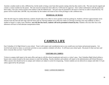Anytime a student needs to ride a different bus, he/she needs to bring a note from their parents stating what bus they need to ride. The note must be signed and contain a contact number for the parent. The note must be turned into front office by 12:00 noon for approval. Once verbal confirmation with the parent has been made, a bus pass will be issued to the student to ride the different bus. The pass must be presented to the driver of the bus in order to board the bus. No passes will be issued after 2:00 PM. Any misconduct by the student will result in loss of the privilege to ride a different bus.

#### **DISMISSAL OF BUSES**

After the bell rings for student dismissal, students should make every effort to move quickly to the bus parking lot. Students will have approximately seven minutes from the time the bell rings until the buses pull out. Having students run to their bus while it is leaving or having a bus stop suddenly to allow a student to board is a safety issue; therefore, *once the first bus leaves, students will not be permitted to board any bus.* Students who miss their bus in the afternoon will have to find alternate transportation home.

# **CAMPUS LIFE**

East Columbus Jr-Sr High School is your school. Treat it with respect and consideration just as you would your own home and personal property. Get involved and attend as many co-curricular activities as your academic schedule will allow. It will boost your school spirit. Be proud of what you have and show everyone that you have "Gator Pride"!

# **VISITORS ON CAMPUS**

Visitors to campus shall report to the main office and sign in with the school receptionist and receive a visitor's pass. East Columbus High School utilizes a buzzer entry system located at the main entrance to enter the building. Faculty members and students will report to the administration and School Resource Office anyone who should not be on campus and violators are subject to arrest for trespassing. Former students are not allowed on campus until after 3:15 pm unless approved by the principal.

# DAILY ANNOUNCEMENTS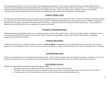Daily school announcements will be made each day at the beginning of second period. Many aspects of student life at East Columbus High School are included in the announcements including upcoming events, testing information, extracurricular events, athletic opportunities, etc. It is important that you are respectful during the announcements and remain quiet so other students may listen. If there are athletic contests, athletic practice, or club meeting cancellations after daily announcements have been made, the administration will announce those cancellations when appropriate.

#### **STUDENT MEDICATION**

All medications (both prescription and over the counter) must be regulated and under control of the school nurse. Per Board of Education Policy 6125, parents may request for the school nurse to distribute medicine to their student by completing the appropriate form and obtaining a doctor's signature. Students are prohibited from having any medication with them during the school day. Exceptions to this must be discussed with the school nurse. If your student has diabetes, please notify the nurse so that an appropriate care plan can be created.

#### **TUTORING AND REMEDIATION**

Additional tutoring and remediation times are to be scheduled directly with the course specific teacher. High school students will be scheduled for Chomp sessions if they need additional assistance in their specific classes. Students are encouraged to communicate with their teacher if they are struggling academically and need extra assistance.

#### **STUDENT DELIVERIES**

The delivery of food, flowers, and gifts to students at school is *strictly prohibited*. Parents may drop off school related items into the front office, however; students will not be called out of class or via the intercom to pick up such deliveries. Students will be permitted to pick up items during lunch or class change.

#### **LOCKERS AND LOCKS**

Students can request the use of a locker from their homeroom teacher. Lockers will be checked to ensure no damage has occurred. A student's locker can be searched if the administration has a reasonable suspicion that the student has something in his/her locker that violates school/school board policy.

#### **ELECTRONIC DEVICES**

Students can have cell phones at school as long as they are not visible.

- o Cell phones must be out of sight in the hallways, classrooms, and Swamp Chomp Sessions.
- $\circ$  Cell phones may not be used unless it is an emergency and then any call or text must be made with the permission of a school official.
- $\circ$  If classroom policy calls for it all cell phones must be turned in to the teacher at the beginning of class.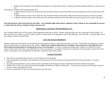o Students may use phones in the cafeteria to play games or surf the web, however, no phone calls will be allowed anywhere on campus at any time.

Any student in violation of the Cell phone policy will:

- o 1<sup>st</sup> Offense-Receive 3 days in ISS at which time the cell phone will be turned into the office and may be picked up at the end of the day by the student.
- o 2<sup>nd</sup> Offense-Receive 5 days in ISS at which time the cell phone will be turned into the office and must be picked up by a parent or guardian.
- o 3<sup>rd</sup> Offense- Receive 10 days in ISS at which time the cell phone will be turned into the office and must be picked up by a parent or guardian.

*All confiscated items will be turned into the front office.* **East Columbus High School and/or Columbus County Schools are not responsible for any lost or stolen electronic devices. Students, bring at your own risk.**

#### **BOOK BAGS, GYM BAGS, POCKETBOOKS, ETC.**

East Columbus High School will only permit school appropriate book bags in school. Students using gym bags must use a mesh bag for their clothing. All sports bags that are too large to go into a student's locker or must be given to the appropriate coach at the beginning of the school day. Such gym bags will not be accepted or stored in the main office.

# **LOST OR STOLEN PROPERTY**

Students should make every effort to ensure that their personal property is kept in a safe and secure place at all times. This includes locking items in a locker, both gym and personal, or keeping items in their vehicle**.** *Neither East Columbus High School nor Columbus County Schools are responsible for lost or stolen student personal property or assisting in the recovery of such property.* If an item is suspected of being stolen, students are to inform the school resource officer and he will make a reasonable effort to recover such property. If a student is found to be in possession of stolen property, then he/she will be subject to disciplinary action including, but not limited to, suspension and criminal charges.

# **SCHOOL POSTERS**

- Only posters concerning school activities or school business will be permitted.
- Clubs, organizations, and athletic teams desiring to put up posters on the school campus must request permission from the principal or an assistant principal.
- Any group given permission to put up a poster will be responsible for removing such posters immediately after their usefulness has passed.
- Students are to use the cork strips that are located throughout the hallways to display school posters. No posters may be put up on the painted columns or entrance windows throughout the school.
- It is your responsibility to take your school poster down after the event.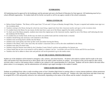#### **FUNDRAISING**

All fundraising must be approved by the bookkeeper and the principal and sent to the Board of Education for final approval. All fundraising must be by a school affiliated organization. No student shall sell for his/her own profit or sell for any agency outside of the school community.

#### **MEDIA CENTER USE**

- Before-School Students: The library will be open from 7:55 am until 3:10 pm on Monday through Friday. No pass is required and students must sign in at the circulation desk.
- Students coming to the library during the school day must bring a signed note from their classroom teacher and sign in at the circulation desk.
- If a student leaves the library for any reason, he/she must have a pass out of the library signed by the media coordinator.
- To check out of the library properly, students must return the original pass to the classroom teacher, signed by one of the library staff indicating the time the student(s) left the library.
- If a student has an overdue book, he/she may not check out another book until the overdue book is returned.
- Students should bring only necessary work materials to the library.
- Students must not bring food or drinks into the library.
- Students must work quietly and clean up their work area before leaving the library.
- Students in the library with a class must obey the teacher's classroom rules as well as the rules established in the library.
- Students must obey all school rules.
- Students using the Internet must abide by the Columbus County School's policies and guidelines for Internet use.
- Library books that are lost or not turned in will be added to a student's fee list. Lost books will cost \$18 for fiction and \$30 for non-fiction.
- Students who fail to adhere to these rules and policies will not be permitted to go to the media center.

#### **USE OF THE SCHOOL PHONES/MESSAGES**

Student use of the telephone will be limited to emergency calls, sickness, and school business. All phone calls made by students shall be made in the main office and teachers have been directed not to allow phone calls to be made at other locations on campus. An exception to this can be made for after-school activities when a coach or club sponsor allows a student to use a phone to call a parent/guardian for a ride home. Students will not be called to the main office phone unless it is an emergency, and the administration will attempt to get urgent messages to the student if needed.

# **VIDEO/AUDIO RECORDING**

Students are prohibited from video or audio recording events at East Columbus High School or posting videos to various internet platforms without permission from the principal. This includes in the classrooms, hallways, gymnasiums, auditorium, restrooms, etc. Students who video altercations and other events may be assigned ISS or OSS and possibly referred to law enforcement, depending on the nature of the offense and the student's discipline record.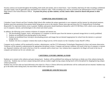Security cameras are located throughout the building, both inside and outside, and on school buses. East Columbus shall keep all video recordings confidential and shall comply with all applicable state and federal laws related to video. Video recordings may only be accessed by the administration of East Columbus High School or the School Resource Officer. *To protect the privacy of other students, security camera videos cannot be shared with parents or other students.*

#### **COMPUTER AND INTERNET USE**

Columbus County Schools and East Columbus High School offer students the unique opportunity to use computers and the internet for educational purposes. Students must have permission from parents before being given access to the internet. Parents must sign and return the CCS *Student/Parent Technology Responsible Use Agreement* before access is granted. Students and parents should familiarize themselves with CCS SB Policy 3225, which covers acceptable use of computers, internet, and technologies in the school and school system.

In addition, the following covers common violations of computer and internet use:

- 1. The downloading of games, music, and programs to a computer or network space from the internet or personal storage device is strictly prohibited.
- 2. Students are prohibited from playing games on the internet.
- 3. Students are prohibited from viewing or downloading pictures and images that are deemed inappropriate for school from the internet or a personal storage device.
- *4.* Students who have a computer violation that results in illegal activity will be turned over the Columbus County Sheriff's Office.

Computer use by students will be monitored by teachers, administrators, and the CCS Information Technologies Department by direct and remote observation. Violations will be reported to administration for appropriate disciplinary actions. Computer and internet violations will result in the loss of computer or internet use. Repeated violations will result in the loss of use for a semester and/or school year. Any violation that is suspected to be illegal will result in the loss of computer and internet use for *one calendar year.*

#### **CAFETERIA, LUNCHES, DRINKS, & FOOD**

Students are to remain in the cafeteria and patio during lunch. Students will be prohibited from taking any food items or drinks out of the cafeteria during the school day. Students may not leave campus during lunch and any student caught leaving campus during lunch will be disciplined for skipping/leaving campus without permission.

Students may not have take-out lunch delivered to the school *(ie. Pizza or Chinese deliveries)* and deliveries will be confiscated and not returned*.* Students may go to the media center during lunch, but must follow media center expectations.

#### **ASSEMBLIES AND PEP RALLIES**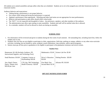All students are to attend assemblies and pep rallies when they are scheduled. Students are to sit in the assigned area with their homeroom teacher or classroom teacher.

Audience behavior and expectations:

- Talking during a performance is not proper behavior.
- Eye contact while sitting and facing the performance is expected.
- Applaud a performance when appropriate. Whistling and other loud noises are not appropriate for most performances.
- Behavior and participation at pep rallies should reflect school pride.
- The "KEY" is to be respectful and thoughtful of others...the performers, speakers, and other members of the audience.
- The administration may allow open seating at some assemblies. Students and staff will be notified when this is allowed.
- As a reminder, students will not be allowed to check-out during an assembly.

# **SCHOOL FEES**

- 1. Fee information will be reviewed and given to students during the first week of each semester. All outstanding fees, including lunch fees, follow the student year to year.
- 2. Students who owe fees are not eligible to participate in clubs, organizations, field trips, parking on campus, athletics or any other extra-curricular activities; including, but not limited to: prom, academic award celebrations, ring ceremony, and/or special programs.
- 3. Seniors must pay all fees prior to graduation to be eligible to participate in the graduation ceremony and receive tickets.

#### **Student Fees:**

| Homeroom: \$11.00 (Includes Guidance, PE,<br>Instructional Supplies, and Technology Fees) |                                                       | Mathematics: \$5.00                     | Science Lab Fee: \$5.00  |
|-------------------------------------------------------------------------------------------|-------------------------------------------------------|-----------------------------------------|--------------------------|
| Small Business: \$10.00                                                                   | <b>Computer Courses or</b><br>Keyboarding: \$20.00    | Driver's Education:<br>\$20.00          | Parking Permits: \$20.00 |
| Arts, Band, Chorus,<br>Dance, Theatre Arts:<br>$$20.00$ per class                         | CTE (Ag, T&I Technology,<br>Health Sciences): \$20.00 | First Meal: Free<br>Second Meal: \$2.50 | Advance PE: \$10.00      |

# **OPT OUT NOTIFICATION FORM**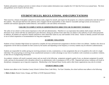Students and parents wanting to prevent or restrict release of certain student information must complete the *CCS Opt-Out Form* on an annual basis. The form and guidelines can be found in the front office.

# **STUDENT RULES, REGULATIONS, AND EXPECTATIONS**

There must be a climate of discipline conducive to serious study, respect for oneself, and respect for the property of a school to satisfactorily meet the needs of the students. The principal shall have the authority and is charged with the responsibility to take whatever reasonable and legal actions are necessary to establish and maintain appropriate student behavior, and establish a safe and orderly environment.

#### **FAILURE TO COMPLY WITH AN ADMINISTRATIVE DIRECTIVE OR TO IDENTIFY YOURSELF**

The safety of our school is of the utmost importance to the staff and administration. Therefore it is an expectation that students shall comply with all the directions of any school staff that are authorized to give directions, during any period of time when they are subject to the authority of such school personnel. In addition, all students are required to identify themselves when asked their names by any staff member of the school. Failure to identify yourself will result in out of school suspension or recommendation for long term suspension.

#### **ACADEMIC VIOLATIONS**

Students at East Columbus High School are expected to complete all class and homework assignments to the best of their own abilities. Students who cheat on assignments will be held accountable for their actions by the teacher and depending on the frequency or severity students may be referred to administration.

Students are responsible for neither giving nor receiving assistance on tests, examinations, or class assignments that are to be graded as the work of a single individual. The actual giving or receiving of any unauthorized assistance or unfair advantage on any form of academic work constitutes an academic violation, as does the act of plagiarizing information.

An academic violation will result in parental contact and can result in the following: assignment assigned a grade of zero, an alternate assignment for partial credit, and may be documented with a discipline referral to an administrator with a consequence of ISS or OSS. Repeated and serious violations will result in disciplinary consequences up to long term suspension. Membership in the National Honor Society and/or other honor organizations may also be revoked.

#### **STUDENT DRESS CODE**

Students must adhere to the Columbus County Schools Uniform Dress Code Policy. For East Columbus, the school uniform must adhere to the following:

1. **Shirts** (**Colors:** Hunter Green, Orange, and White or ECHS Sponsored Shirts):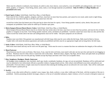Shirts must be collared or turtleneck, have buttons, be solid in color, have sleeves, worn tucked in, cover all midriffs and undergarments, and free of labels, graphics, or insignias. Form fitting, denim, nylon, mesh, or see-through materials are prohibited. **Only ECJSHS or College Hoodies are permitted to be worn.**

#### 2. **Pants/Capris** (**Colors:** Solid Khaki, Solid Navy Blue, or Solid Black):

Pants must be free of labels, graphics, insignias, and frays, must have no more than four pockets, and cannot be over-sized, under-sized or tight-fitting. Pants must be worn above the hips at all times and cannot have slits that

exceed four inches from the bottom part of the pant leg (or above the knee for capris). Form-fitting spandex material, nylon, denim, blue jeans and sweatpants are prohibited. Pants cannot be rolled up to simulate capri pants.

#### 3. **Skirts/Jumpers/Dresses/Shorts/Skorts** (**Colors:** Solid Khaki, Solid Navy Blue, or Solid Black):

Skirts/Jumpers/Dresses/Shorts/Skorts must be no shorter than four inches above the knee, must have no more than four pockets, and must be free of labels, graphics or insignias of any kind. Form fitting spandex material, nylon, and denim are prohibited. Garments cannot have more than two slits and the slits cannot exceed four inches above the knee and undergarments must not be visible. One-piece jumpsuits are not allowed.

#### 4. **Belts:**

Students must wear belts if the garment was manufactured with belt loops; belts must be worn within the belt loops. Belts must be black or brown. Graphic belts with metal decorations (grommets and studs) are prohibited and belts must be an appropriate length and not hang below the belt loops.

#### 5. **Socks** (**Colors:** Solid Khaki, Solid Navy Blue, White, or Solid Black):

Both socks must match and may not be worn over the pants legs. Socks must be worn in a manner that does not undermine the integrity of the uniform.

#### 6. **Shoes/Footwear:**

Shoes/footwear must be worn at all times. Shoe laces, if any, must be tied at all times, must match with only one lace per shoe and must be not dragging on the floor. Shoelaces must be white, black or match the color of the shoes. Bedroom shoes, slippers, flip flops, shower shoes and spike heels are prohibited and boots may not be worn over the pant leg. Sandals (except flip flops) and shoes with Velcro are acceptable shoes.

#### 7. **Hats, Sunglasses, Headgear, Hoods, Outerwear**:

All headgear items (sunglasses, hats, kerchiefs, skull caps, hoods, sweatbands, bandanas, do rags, etc) are not permitted. Bandanas will be confiscated and may be submitted to law enforcement officials as possible evidence of gang-related activity. Only school color/affiliated sweat shirts and pullovers are permissible. Overcoats (heavy weight coats) must be removed when entering the building and are not allowed to be worn inside. Hats will be confiscated and will require a parent pick up.

#### 8. **Jewelry:**

Jewelry or any other article affixed to a student's nose, tongue, lips, cheek, eyebrow, or any other visible part of the body, with the exception of the ears is prohibited. Articles promoting alcoholic beverages, tobacco, or the use of controlled substances, depict violence, or be of a sexual or disruptive nature are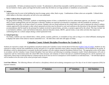not permissible. All body art (tattoos) must be covered. No adornment is allowed that reasonably could be perceived as, or used as, a weapon, including, but not limited to chains, spikes and large belt buckles (wider than the belt) nor are large pendants or medallions are permissible.

#### 10. **Jackets**

Light jackets may be worn in the building but must be orange, green, white, black or gray. Combinations of these colors are acceptable. Collared shirts which adhere to the dress code policy are still to be worn underneath.

#### 11. **Other Uniform Dress Requirements**:

No gang-related clothing, accessories, symbols or intimidating manner of dress, as identified by local law enforcement agencies, are allowed. Layering of shirts or pants (undergarments and one shirt/pant is allowed). Students are expected to be dressed in compliance with the standards for uniforms as established by this policy at all times school is in session. Students who are issued uniforms by the school which are used to represent the school in athletic contests approved by the principal or other school sponsored activities may be allowed to wear such uniforms at the discretion of the principal. Reasonable accommodations shall be made by the principal for students involved in special duties, activities, or projects approved by the school. This may include, but is not limited to athletics, career and technical education, physical education classes, JROTC, special events, or any other activities that require nonconforming dress on a school campus during a school-sponsored event.

# 12. **School Spirit day:**

On Fridays, students can wear collared shirts, t-shirts, jackets, sweaters, pullovers, or sweatshirts of any color as long as it is school affiliated, meaning that it displays the name of the school or mascot somewhere on it. All other dress code rules still apply on Friday.

# **Columbus County Schools Discipline Procedures for Grades K-12**

Students are expected to comply with all guidelines and policies listed in the Columbus County Schools Board of Education [Student Code of Conduct](https://boardpolicyonline.com/bl/?b=columbus#&&hs=TOC%3a4). Students are also expected to comply with the rules established by faculty and staff of CCS and their individual school. Minor classroom disturbances will be handled by the teacher. If disciplinary action by administration is warranted, faculty/staff members will refer students using the Disciplinary Referral Form. The appropriate action will be taken in accordance with the Columbus County Schools Discipline Chart (see below) and following an escalating consequence model. School administrators will work in conjunction with law enforcement and/or the school SRO when necessary and violations of school rules that are considered breaking the law *will be* reported to law enforcement. Please keep in mind that behavior violations that do not fit into our level of consequences will be handled on an individual basis. *\* All individual offenses will be handled at the discretion of the school principal and/or designee.*

Level One Offenses: The following offenses will result in a disciplinary referral and escalating consequences up to five days of out of school suspension (OSS) for repeated violations.

| Level ONE offense | <b>1st Violation</b> | 2 <sup>nd</sup> Violation | <b>3rd Violation</b> |
|-------------------|----------------------|---------------------------|----------------------|
|                   |                      |                           |                      |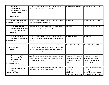| 1. Attendance<br>(tardy/skipping<br>class/leaving off campus<br>without permission)<br>BOE Policy#4330/440    | Parent/teacher/student conference and or referral to<br>school counselor/3 days ISS or 1day OSS                                                                                                 | 5 days ISS or 2 days OSS                                                                      | 3 days OSS or referral to ALP.                                                                                 |
|---------------------------------------------------------------------------------------------------------------|-------------------------------------------------------------------------------------------------------------------------------------------------------------------------------------------------|-----------------------------------------------------------------------------------------------|----------------------------------------------------------------------------------------------------------------|
| 2. Bullying or Intimidation<br>BOE Policy#1710/4021/7230                                                      | Parent/teacher/student conference/referral to school<br>counselor/3 days ISS or 1day OSS                                                                                                        | 3 days OSS                                                                                    | 5 days OSS/referral to ALP                                                                                     |
| 3. Disruption/Failure to<br>comply with Student Code<br>of Conduct (all settings)<br>BOE Policy#4300          | Parent/teacher/student conference and or referral to<br>school counselor/3 days ISS or 1day OSS                                                                                                 | 3 days OSS                                                                                    | 5 days OSS/referral to ALP                                                                                     |
| 4. Disruptive or Obscene<br><b>Literature or Illustrations</b><br>BOE Policy#4315                             | Parent/teacher/student conference and or referral to<br>school counselor/referral to school based mental health<br>services                                                                     | 3 days ISS or 1-day OSS                                                                       | 3 days OSS                                                                                                     |
| 5. Dress Code<br>BOE Policy#4316                                                                              | Parent/teacher/student conference and or /referral to<br>school counselor/3 days ISS or 1day OSS (Students will<br>have one opportunity to make a change to their dress<br>before consequence.) | 3 days ISS or 1-day OSS                                                                       | 5 days ISS or 2 days OSS                                                                                       |
| 6. Failure to Complete<br><b>Remote Instruction as</b><br>assigned and/or<br>attendance<br>RLP/Reopening plan | After five consecutive absences: Parent/teacher/student<br>conference/referral to school counselor and/or school<br>social worker and home visit.                                               | Referral to Administration<br>for additional action and<br>or grade/credit could be<br>denied | Referral to Administration for<br>additional action and or<br>promotion to next grade level<br>could be denied |
| 7. Blatant refusal to wear<br>mask.<br><b>NCDHHS</b> guidelines                                               | Parent/teacher/student conference/referral to school<br>counselor and/or school social worker                                                                                                   | Referral to<br>administration for<br>additional<br>action/discretion and use                  | Referral to administration<br>for additional<br>action/discretion 1-2 days<br>ISS per infraction (OSS for      |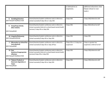|                                                                                               |                                                                                                                                                     | of alternatives to<br>suspension.        | additional infractions when<br>blatant refusal to wear<br>mask.) |
|-----------------------------------------------------------------------------------------------|-----------------------------------------------------------------------------------------------------------------------------------------------------|------------------------------------------|------------------------------------------------------------------|
| 8. Gambling/Extortion<br>BOE Policy#1710/4021/7230                                            | Parent/teacher/student conference and or referral to<br>school counselor/3 days ISS or 1-day OSS                                                    | 3 days OSS                               | 5 days OSS/referral to ALP                                       |
| <b>Gang/Gang Activity</b><br>9.<br>(Non-violent)<br>BOE Policy#4328                           | Parent/teacher/student conference and or referral to<br>school counselor/referral to school based mental health<br>services/ 3 days ISS or 1day OSS | 3 days OSS                               | 5days OSS/referral to ALP                                        |
| 10. Integrity/Dishonesty<br>BOE Policy#4310/4330                                              | Parent/teacher/student conference and or referral to<br>school counselor/3 days ISS or 1day OSS                                                     | 3 days OSS                               | 5 days OSS                                                       |
| 11. Misconduct on School Bus<br>(non-physical)<br><b>BOE Policy#4300</b>                      | Parent/teacher/student conference and or referral to<br>school counselor/3 days ISS or 1day off bus                                                 | 3 days ISS or 1-3 days bus<br>suspension | 3 days or greater bus<br>suspension / referral to ALP            |
| 12. Peer<br>Relations/Inappropriate<br><b>Affection</b><br>BOE Policy#1710/4021/7230          | Parent/teacher/student conference and or referral to<br>school counselor/referral to school based mental health<br>services/3 days ISS or 1day OSS  | 3 days OSS                               | 5 days OSS/referral to ALP                                       |
| 13. Tobacco Products or<br><b>Electronic Cigarettes or</b><br><b>Vapes</b><br>BOE Policy#4320 | Parent/teacher/student conference and or referral to<br>school counselor/3 days ISS or 1day OSS                                                     | 3 days OSS                               | 5 days OSS/referral to ALP                                       |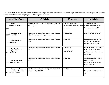Level Two Offenses: The following offenses will result in a disciplinary referral and escalating consequences up to ten days of out of school suspension (OSS) and a referral to an Alternative Learning Program (ALP) for repeated violations.

| <b>Level TWO offense</b>                                                | 1 <sup>st</sup> Violation                                                               | 2 <sup>nd</sup> Violation                                          | <b>3rd Violation</b>                                                                                     |
|-------------------------------------------------------------------------|-----------------------------------------------------------------------------------------|--------------------------------------------------------------------|----------------------------------------------------------------------------------------------------------|
| 1. Arson<br>BOE Policy#4300/1510/4200<br>7270                           | Possible petition for crime through court system and<br>or 10 days OSS                  | 10 days OSS/possible<br>recommendation for long-term<br>suspension | 10 days OSS/possible<br>recommendation for long-<br>term suspension or ALP                               |
| 2. Computer Misuse<br>BOE Policy#3225                                   | Parent/teacher/student conference and or 1-3 days<br>ISS and suspension of computer use | 3-5 days OSS                                                       | 5 days OSS/referral to ALP                                                                               |
| 3. False Fire Alarm<br>BOE Policy#4300                                  | Parent/teacher/student conference and or 3-5 days<br>OSS                                | 5 days OSS                                                         | 10 days OSS/referral to ALP/<br>possible petition of crime<br>through the court system                   |
| <b>Fighting/Physical</b><br>4.<br><b>Aggression</b><br>BOE Policy#4331  | Parent/teacher/student conference and or 3-5 days<br>ISS/OSS                            | 10 days OSS/<br>referral to ALP                                    | Recommendation for a long-<br>term suspension/possible<br>petition for crime through the<br>court system |
| 5. Hazing/Intimidation<br>BOE Policy#1710/4021/7230                     | Parent/teacher/student conference and or 3-5 days<br>ISS/OSS                            | 5 days OSS                                                         | 10 days OSS/possible referral<br>to ALP & possible<br>recommendation for long -<br>term suspension       |
| 6. Possession of Weapons<br>other than Firearms<br>BOE Policy#4300/4330 | Possible petition for crime through the court system<br>and or 1-3 days ISS/OSS         | 3-5 days OSS                                                       | 5 days OSS/possible referral to<br><b>ALP</b>                                                            |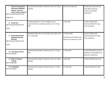| <b>School Transportation</b><br>7.<br>Disturbance (fighting,<br>pullover, return to<br>school, safety violation)<br>BOE Policy#4315/4300/1510/<br>4200/7270 | Parent/teacher/student conference and or /3-5 days<br>ISS/OSS                                               | 5 days bus suspension                                                        | 10 days bus suspension/10<br>days OSS/15 days bus<br>suspension (possible<br>revocation) |
|-------------------------------------------------------------------------------------------------------------------------------------------------------------|-------------------------------------------------------------------------------------------------------------|------------------------------------------------------------------------------|------------------------------------------------------------------------------------------|
| 8. Sexual Acts<br>BOE Policy#1720/4015/7225<br>/4335                                                                                                        | Possible petition for crime through the court<br>system/referral to school counselor and or 3-5 days<br>OSS | 5 days OSS                                                                   | 10 days OSS/possible<br>recommendation for long-<br>term suspension                      |
| <b>Sexual Harassment/</b><br>9.<br><b>Bullying/Harassing</b><br><b>Behavior</b><br>BOE Policy#1710/4021/7230<br>/4335                                       | Possible petition for crime through court system and<br>or 3-5 days OSS                                     | 5-10 days OSS/<br>possible recommendation for<br>long-term suspension or ALP | 10 days OSS/possible<br>recommendation for long-<br>term suspension                      |
| 10. Threat/False Threat<br>BOE Policy#4330                                                                                                                  | Parent/teacher/student conference and or 1-3 days<br>OSS                                                    | 3-5 days OSS                                                                 | 5 days OSS/referral to ALP &<br>possible recommendation for<br>long-term suspension      |
| 11. Theft or Property<br>Damage<br>BOE Policy#4330                                                                                                          | Parent/teacher/student conference and or /3-5 days<br>ISS/OSS                                               | 5 days OSS                                                                   | 10 days OSS/referral to ALP                                                              |
| 12. Trespassing<br>BOE Policy#4330                                                                                                                          | Parent/teacher/student conference and or 1-3 days<br>ISS/OSS                                                | 3-5 days OSS                                                                 | 5 days OSS/referral to ALP                                                               |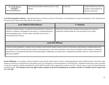| 13. Verbal Abuse or  | $\parallel$ Parent/teacher/student conference and or 3 days | $\parallel$ 5 days OSS | 10 days OSS/referral to ALP &           |
|----------------------|-------------------------------------------------------------|------------------------|-----------------------------------------|
| <b>Disrespect</b>    | ISS/OSS                                                     |                        | $\parallel$ possible recommendation for |
| BOE Policy#4300/4310 |                                                             |                        | I long-term suspension                  |
|                      |                                                             |                        |                                         |

**Level Three through Five offenses:** The following offenses will result in ten days of OSS and/or a recommendation for Long Term Suspension or ALP. *Administrators will work with law enforcement and/or SRO for these offenses.*

| <b>Level THREE &amp; FOUR Offenses</b>                                                                                                                                                                                                                                                                                                                                                                                                                                                                            | 1 <sup>st</sup> Violation                                                                                                                |  |  |  |
|-------------------------------------------------------------------------------------------------------------------------------------------------------------------------------------------------------------------------------------------------------------------------------------------------------------------------------------------------------------------------------------------------------------------------------------------------------------------------------------------------------------------|------------------------------------------------------------------------------------------------------------------------------------------|--|--|--|
| 1. Assault on another Student; 2. Assault on School Personnel; 3. Coercion or<br>Extortion; 4. Weapons and Dangerous Instruments; 5. Controlled Substances<br>and Drug Paraphernalia; 6. Threats, Hoaxes, and Other Acts of Terror; 7.<br>Firearms/Destructive Devices                                                                                                                                                                                                                                            | 10 days OSS, referral to ALP, possible recommendation for long-term<br>suspension/ Possible Petition for crime through the court system. |  |  |  |
| <b>Level FIVE Offenses</b>                                                                                                                                                                                                                                                                                                                                                                                                                                                                                        |                                                                                                                                          |  |  |  |
| A student may be expelled for a violation of the Columbus County Schools Student Code of Conduct if the Principal, Superintendent, and Board determines<br>that student's behavior indicates that the student's continued presence in the school constitutes a clear threat to the safety of other students or employees,<br>and that there is no appropriate alternative educational program. Additionally, any student who is a registered sex offender under N.C. General Statutes 14-<br>208 may be expelled. |                                                                                                                                          |  |  |  |

Parent Notification: In accordance with the Columbus County Schools Student Code of Conduct, Parent(s)/guardian(s) will be notified by phone and/or letter when students are referred to an administrator for disciplinary action. All consequences will be determined on an individual basis. Multiple infractions may result in extended or long-term suspension. Students suspended from school shall be provided with an opportunity to make up any EOC, semester exam, or major test missed during the suspension period. **The Principal reserves the right to make exceptions to the level of punishment in accordance with the CCS Student Code of Conduct and G.S. 115C-288.**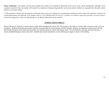Felony Notification: Any student, who has been charged with a felony and is waiting the disposition of the case by court, will be automatically suspended. If the suspension exceeds 10 days, the student will be placed in an alternative learning setting until the case has been settled. Students are suspended from the public school until the case has been settled.

*\*\*\*The principal or designee has the authority to determine when a short-term suspension is an appropriate consequence and to impose the suspension, so long as all relevant board policies are followed. In accordance with G.S. 115C-390.6(e) and 115C-45(c)(1), a student is not entitled to appeal the principal's decision to impose a short-term suspension to either the superintendent or the Board of Education and its members.*

#### **SCHOOL SAFETY DRILLS**

School officials are required to conduct various safety drills throughout the school year. The purpose of the drills is to ensure safe evacuation in the case of an emergency. Students should become familiar with the evacuation plan for each classroom on their schedule. Students are required to remain quiet and with their teacher during the entire drill and must follow any directions given by school staff during a drill. Use of cell phones and other electronic devices is strictly prohibited during a school safety drill. Students must return immediately to class following the signal to return to the building.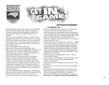



# DON'T BE LEFT ON THE SIDELINES!

#### **For Eligibility, YOU…**

- Must be a properly enrolled student at the time you participate, must be enrolled no later than the 15th day of the present semester, and must be in regular attendance at that school.
- Must meet *local attendance standards* for the previous semester.
- Must not have exceeded eight consecutive semesters or have participated more than four seasons in any sport since entering grade 9. That includes only one sport season for a participant per academic year – you can't play soccer in one season out of state and play it again upon moving to North Carolina in the same academic year.
- Must not have graduated from high school.
- Must be under 19 years of age on September 1, 201 9 .
- Must live with your parents or legal custodian within the school administrative unit. A student is eligible if he has attended within that unit the previous two semesters (if eligible in all other respects) and meets LEA standards.
- Must have passed the minimum academic load during the previous semester, and meet local promotion standards. Students in a "block schedule" must pass three courses per semester and meet local promotion standards; students in the "traditional schedule" must pass at least five courses and meet local promotion standards. These are courses for credit, not audited courses. Hybrid schedules have different requirements.
- Seniors must also pass that minimum load, even if they need fewer for graduation.
- Must have received a medical examination by a duly licensed physician, nurse practitioner, or physician's assistant within the previous 365 days; and if you miss five or more days of practice due to an injury, you must receive medical release
- Must not have been convicted of a felony, or an offense that would have been a felony if committed by an adult.
- Must not accept prizes, merchandise, money or anything that can be exchanged for money as a result of athletic participation within the amateur rule limit. THIS INCLUDES BEING ON A FREE LIST OR LOAN LIST FOR EQUIPMENT, ETC.
- Must not have signed a professional contract or have played for a college team of any sort.
- May not receive team instructions from your school's coaching staff during the school year outside your sport season (from first practice through the final game). Instruction is limited to coach and athletes in SKILL DEVELOPMENT SESSIONS. THESE SESSIONS IN NUMBER ARE LIMITED TO ONE LESS THAN A TEAM ON A DAILY BASIS, AND MAY NOT BE HELD DURING CERTAIN PRESCRIBED "DEAD PERIODS" OF THE YEAR.
- Must not be guilty of unsportsmanlike conduct, or ejected from the previous contest.
- May not usually, as an individual or on a team, practice or play during a school day (from the first contest through the conference tournament).
- May not play, practice or assemble as a team with your coach on Sunday.
- May not dress for a contest or practice if you are not eligible to participate.
- Must not play more than three games in one sport per week, (some sports have exceptions) and no more than one contest per day (exception baseball, softball, and volleyball).
- Must meet the NCHSAA transfer requirement, if applicable.
- **Must meet Local Columbus County Schools requirements.**